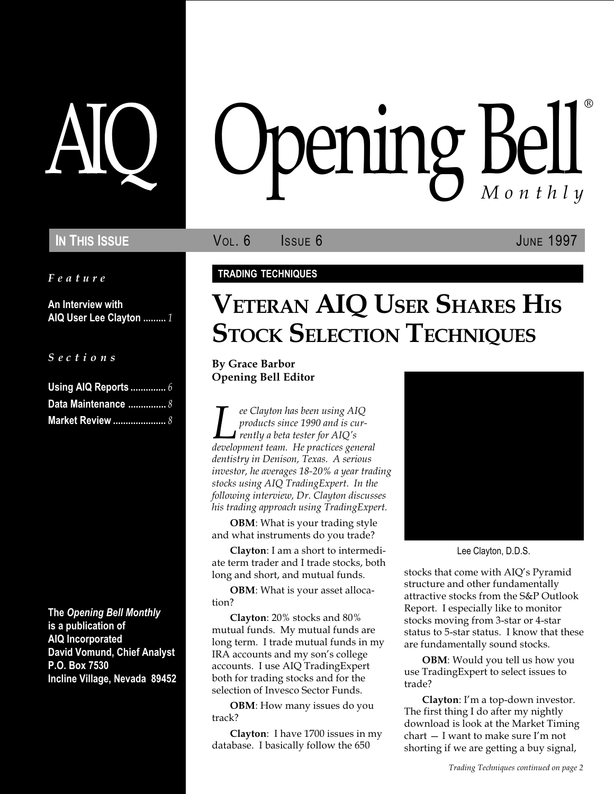Feature

An Interview with AIQ User Lee Clayton ......... 1

S e c t i o n s

| Using AIQ Reports  6 |  |
|----------------------|--|
| Data Maintenance  8  |  |
|                      |  |

The Opening Bell Monthly is a publication of AIQ Incorporated David Vomund, Chief Analyst P.O. Box 7530 Incline Village, Nevada 89452

# pening Bell ®

IN THIS ISSUE **VOL. 6** ISSUE 6 **ISSUE JUNE 1997** 

## TRADING TECHNIQUES

# VETERAN AIQ USER SHARES HIS **STOCK SELECTION TECHNIQUES**

By Grace Barbor Opening Bell Editor

Lee Clayton has been using AIQ<br>products since 1990 and is cur-<br>rently a beta tester for AIQ's<br>development team. He practices general products since 1990 and is cur- $\blacksquare$  rently a beta tester for AIQ's dentistry in Denison, Texas. A serious investor, he averages 18-20% a year trading stocks using AIQ TradingExpert. In the following interview, Dr. Clayton discusses his trading approach using TradingExpert.

OBM: What is your trading style and what instruments do you trade?

Clayton: I am a short to intermediate term trader and I trade stocks, both long and short, and mutual funds.

OBM: What is your asset allocation?

Clayton: 20% stocks and 80% mutual funds. My mutual funds are long term. I trade mutual funds in my IRA accounts and my son's college accounts. I use AIQ TradingExpert both for trading stocks and for the selection of Invesco Sector Funds.

OBM: How many issues do you track?

Clayton: I have 1700 issues in my database. I basically follow the 650



Lee Clayton, D.D.S.

stocks that come with AIQ's Pyramid structure and other fundamentally attractive stocks from the S&P Outlook Report. I especially like to monitor stocks moving from 3-star or 4-star status to 5-star status. I know that these are fundamentally sound stocks.

OBM: Would you tell us how you use TradingExpert to select issues to trade?

Clayton: I'm a top-down investor. The first thing I do after my nightly download is look at the Market Timing  $chart - I$  want to make sure I'm not shorting if we are getting a buy signal,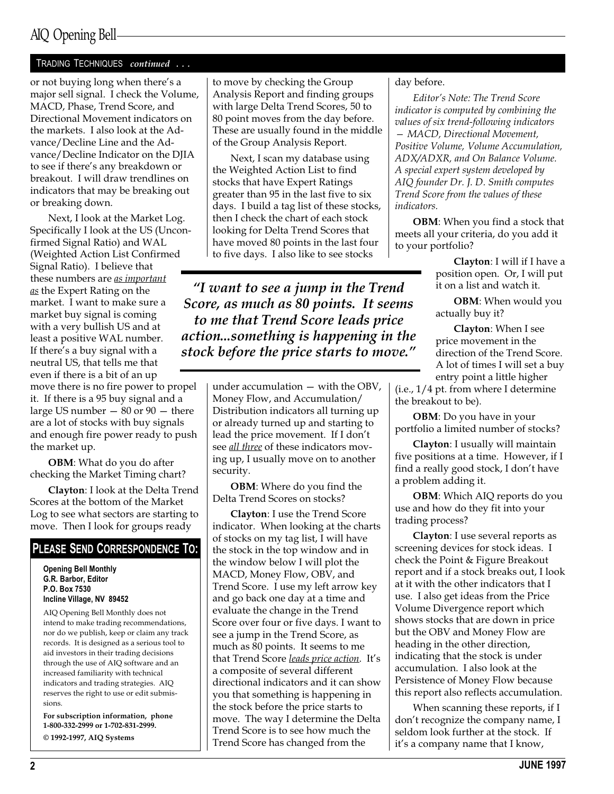## AIQ Opening Bell

#### TRADING TECHNIQUES continued ...

or not buying long when there's a major sell signal. I check the Volume, MACD, Phase, Trend Score, and Directional Movement indicators on the markets. I also look at the Advance/Decline Line and the Advance/Decline Indicator on the DJIA to see if there's any breakdown or breakout. I will draw trendlines on indicators that may be breaking out or breaking down.

Next, I look at the Market Log. Specifically I look at the US (Unconfirmed Signal Ratio) and WAL (Weighted Action List Confirmed Signal Ratio). I believe that these numbers are <u>as important</u> as the Expert Rating on the market. I want to make sure a market buy signal is coming with a very bullish US and at least a positive WAL number. If there's a buy signal with a neutral US, that tells me that even if there is a bit of an up move there is no fire power to propel it. If there is a 95 buy signal and a large US number  $-80$  or  $90 -$  there are a lot of stocks with buy signals and enough fire power ready to push the market up.

OBM: What do you do after checking the Market Timing chart?

Clayton: I look at the Delta Trend Scores at the bottom of the Market Log to see what sectors are starting to move. Then I look for groups ready

#### PLEASE SEND CORRESPONDENCE TO:

Opening Bell Monthly G.R. Barbor, Editor P.O. Box 7530 Incline Village, NV 89452

AIQ Opening Bell Monthly does not intend to make trading recommendations, nor do we publish, keep or claim any track records. It is designed as a serious tool to aid investors in their trading decisions through the use of AIQ software and an increased familiarity with technical indicators and trading strategies. AIQ reserves the right to use or edit submissions.

For subscription information, phone 1-800-332-2999 or 1-702-831-2999. © 1992-1997, AIQ Systems

to move by checking the Group Analysis Report and finding groups with large Delta Trend Scores, 50 to 80 point moves from the day before. These are usually found in the middle of the Group Analysis Report.

Next, I scan my database using the Weighted Action List to find stocks that have Expert Ratings greater than 95 in the last five to six days. I build a tag list of these stocks, then I check the chart of each stock looking for Delta Trend Scores that have moved 80 points in the last four to five days. I also like to see stocks

I want to see a jump in the Trend Score, as much as 80 points. It seems to me that Trend Score leads price action...something is happening in the stock before the price starts to move."

> under accumulation  $-$  with the OBV, Money Flow, and Accumulation/ Distribution indicators all turning up or already turned up and starting to lead the price movement. If I don't see *all three* of these indicators moving up, I usually move on to another security.

OBM: Where do you find the Delta Trend Scores on stocks?

Clayton: I use the Trend Score indicator. When looking at the charts of stocks on my tag list, I will have the stock in the top window and in the window below I will plot the MACD, Money Flow, OBV, and Trend Score. I use my left arrow key and go back one day at a time and evaluate the change in the Trend Score over four or five days. I want to see a jump in the Trend Score, as much as 80 points. It seems to me that Trend Score leads price action. It's a composite of several different directional indicators and it can show you that something is happening in the stock before the price starts to move. The way I determine the Delta Trend Score is to see how much the Trend Score has changed from the

day before.

Editor's Note: The Trend Score indicator is computed by combining the values of six trend-following indicators MACD, Directional Movement, Positive Volume, Volume Accumulation, ADX/ADXR, and On Balance Volume. A special expert system developed by AIQ founder Dr. J. D. Smith computes Trend Score from the values of these indicators.

OBM: When you find a stock that meets all your criteria, do you add it to your portfolio?

> Clayton: I will if I have a position open. Or, I will put it on a list and watch it.

**OBM**: When would you actually buy it?

Clayton: When I see price movement in the direction of the Trend Score. A lot of times I will set a buy entry point a little higher

(i.e., 1/4 pt. from where I determine the breakout to be).

**OBM**: Do you have in your portfolio a limited number of stocks?

Clayton: I usually will maintain five positions at a time. However, if I find a really good stock, I don't have a problem adding it.

OBM: Which AIQ reports do you use and how do they fit into your trading process?

Clayton: I use several reports as screening devices for stock ideas. I check the Point & Figure Breakout report and if a stock breaks out, I look at it with the other indicators that I use. I also get ideas from the Price Volume Divergence report which shows stocks that are down in price but the OBV and Money Flow are heading in the other direction, indicating that the stock is under accumulation. I also look at the Persistence of Money Flow because this report also reflects accumulation.

When scanning these reports, if I don't recognize the company name, I seldom look further at the stock. If it's a company name that I know,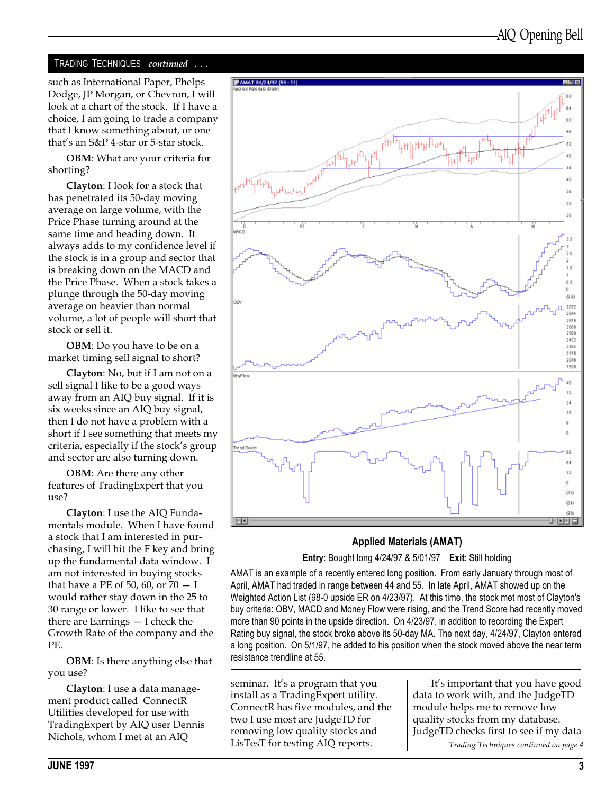### TRADING TECHNIQUES continued ...

such as International Paper, Phelps Dodge, JP Morgan, or Chevron, I will look at a chart of the stock. If I have a choice, I am going to trade a company that I know something about, or one that's an S&P 4-star or 5-star stock.

OBM: What are your criteria for shorting?

Clayton: I look for a stock that has penetrated its 50-day moving average on large volume, with the Price Phase turning around at the same time and heading down. It always adds to my confidence level if the stock is in a group and sector that is breaking down on the MACD and the Price Phase. When a stock takes a plunge through the 50-day moving average on heavier than normal volume, a lot of people will short that stock or sell it.

OBM: Do you have to be on a market timing sell signal to short?

Clayton: No, but if I am not on a sell signal I like to be a good ways away from an AIQ buy signal. If it is six weeks since an AIQ buy signal, then I do not have a problem with a short if I see something that meets my criteria, especially if the stock's group and sector are also turning down.

OBM: Are there any other features of TradingExpert that you use?

Clayton: I use the AIQ Fundamentals module. When I have found a stock that I am interested in purchasing, I will hit the F key and bring up the fundamental data window. I am not interested in buying stocks that have a PE of 50, 60, or  $70 - I$ would rather stay down in the 25 to 30 range or lower. I like to see that there are Earnings  $-$  I check the Growth Rate of the company and the PE.

OBM: Is there anything else that you use?

Clayton: I use a data management product called ConnectR Utilities developed for use with TradingExpert by AIQ user Dennis Nichols, whom I met at an AIQ



## Applied Materials (AMAT)

Entry: Bought long 4/24/97 & 5/01/97 Exit: Still holding

AMAT is an example of a recently entered long position. From early January through most of April, AMAT had traded in range between 44 and 55. In late April, AMAT showed up on the Weighted Action List (98-0 upside ER on 4/23/97). At this time, the stock met most of Clayton's buy criteria: OBV, MACD and Money Flow were rising, and the Trend Score had recently moved more than 90 points in the upside direction. On 4/23/97, in addition to recording the Expert Rating buy signal, the stock broke above its 50-day MA. The next day, 4/24/97, Clayton entered a long position. On 5/1/97, he added to his position when the stock moved above the near term resistance trendline at 55.

seminar. It's a program that you install as a TradingExpert utility. ConnectR has five modules, and the two I use most are JudgeTD for removing low quality stocks and LisTesT for testing AIQ reports.

Trading Techniques continued on page 4 It's important that you have good data to work with, and the JudgeTD module helps me to remove low quality stocks from my database. JudgeTD checks first to see if my data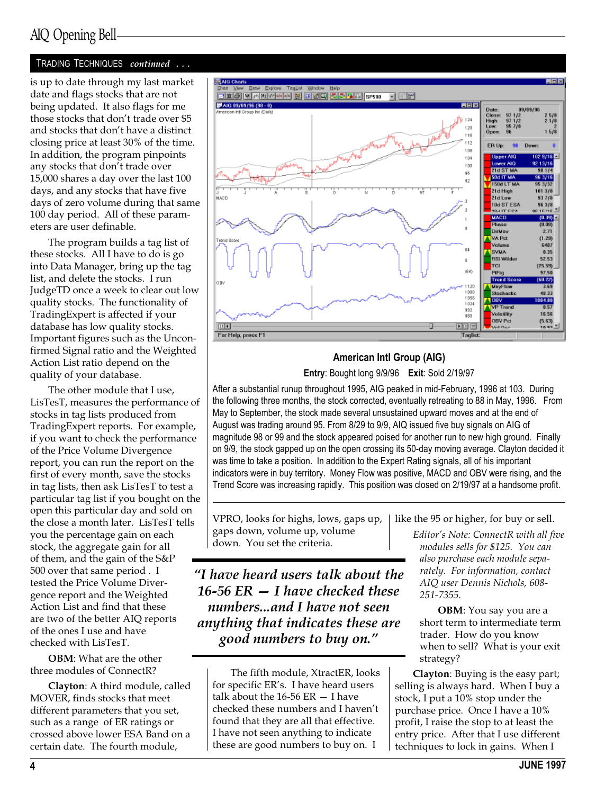#### TRADING TECHNIQUES continued ...

is up to date through my last market date and flags stocks that are not being updated. It also flags for me those stocks that don't trade over \$5 and stocks that don't have a distinct closing price at least 30% of the time. In addition, the program pinpoints any stocks that don't trade over 15,000 shares a day over the last 100 days, and any stocks that have five days of zero volume during that same 100 day period. All of these parameters are user definable.

The program builds a tag list of these stocks. All I have to do is go into Data Manager, bring up the tag list, and delete the stocks. I run JudgeTD once a week to clear out low quality stocks. The functionality of TradingExpert is affected if your database has low quality stocks. Important figures such as the Unconfirmed Signal ratio and the Weighted Action List ratio depend on the quality of your database.

The other module that I use, LisTesT, measures the performance of stocks in tag lists produced from TradingExpert reports. For example, if you want to check the performance of the Price Volume Divergence report, you can run the report on the first of every month, save the stocks in tag lists, then ask LisTesT to test a particular tag list if you bought on the open this particular day and sold on the close a month later. LisTesT tells you the percentage gain on each stock, the aggregate gain for all of them, and the gain of the S&P 500 over that same period . I tested the Price Volume Divergence report and the Weighted Action List and find that these are two of the better AIQ reports of the ones I use and have checked with LisTesT.

OBM: What are the other three modules of ConnectR?

Clayton: A third module, called MOVER, finds stocks that meet different parameters that you set, such as a range of ER ratings or crossed above lower ESA Band on a certain date. The fourth module,



## American Intl Group (AIG)

Entry: Bought long 9/9/96 Exit: Sold 2/19/97

After a substantial runup throughout 1995, AIG peaked in mid-February, 1996 at 103. During the following three months, the stock corrected, eventually retreating to 88 in May, 1996. From May to September, the stock made several unsustained upward moves and at the end of August was trading around 95. From 8/29 to 9/9, AIQ issued five buy signals on AIG of magnitude 98 or 99 and the stock appeared poised for another run to new high ground. Finally on 9/9, the stock gapped up on the open crossing its 50-day moving average. Clayton decided it was time to take a position. In addition to the Expert Rating signals, all of his important indicators were in buy territory. Money Flow was positive, MACD and OBV were rising, and the Trend Score was increasing rapidly. This position was closed on 2/19/97 at a handsome profit.

VPRO, looks for highs, lows, gaps up, gaps down, volume up, volume down. You set the criteria.

I have heard users talk about the 16-56  $ER - I$  have checked these numbers...and I have not seen anything that indicates these are good numbers to buy on.

The fifth module, XtractER, looks for specific ER's. I have heard users talk about the  $16-56$  ER  $-$  I have checked these numbers and I haven't found that they are all that effective. I have not seen anything to indicate these are good numbers to buy on. I

like the 95 or higher, for buy or sell.

Editor's Note: ConnectR with all five modules sells for \$125. You can also purchase each module separately. For information, contact AIQ user Dennis Nichols, 608- 251-7355.

OBM: You say you are a short term to intermediate term trader. How do you know when to sell? What is your exit strategy?

Clayton: Buying is the easy part; selling is always hard. When I buy a stock, I put a 10% stop under the purchase price. Once I have a 10% profit, I raise the stop to at least the entry price. After that I use different techniques to lock in gains. When I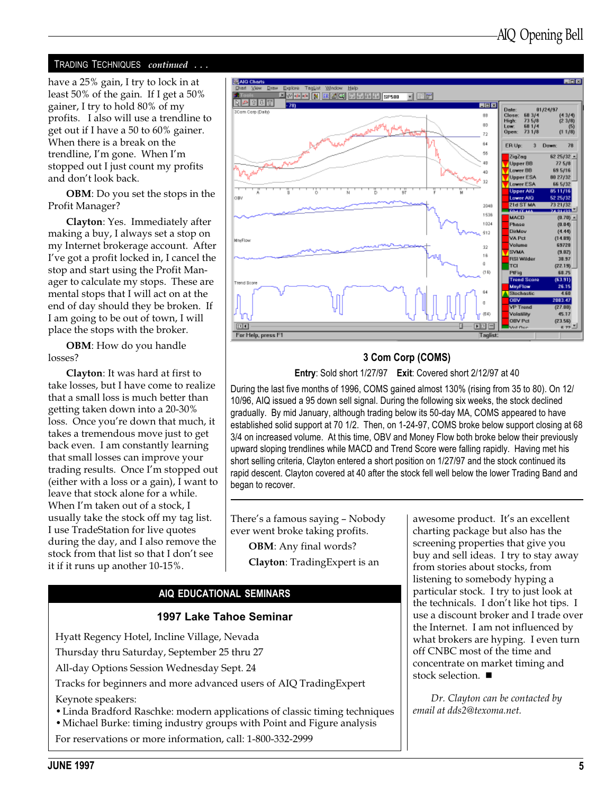#### TRADING TECHNIQUES continued ...

have a 25% gain, I try to lock in at least 50% of the gain. If I get a 50% gainer, I try to hold 80% of my profits. I also will use a trendline to get out if I have a 50 to 60% gainer. When there is a break on the trendline, I'm gone. When I'm stopped out I just count my profits and don't look back.

OBM: Do you set the stops in the Profit Manager?

Clayton: Yes. Immediately after making a buy, I always set a stop on my Internet brokerage account. After Ive got a profit locked in, I cancel the stop and start using the Profit Manager to calculate my stops. These are mental stops that I will act on at the end of day should they be broken. If I am going to be out of town, I will place the stops with the broker.

OBM: How do you handle losses?

Clayton: It was hard at first to take losses, but I have come to realize that a small loss is much better than getting taken down into a 20-30% loss. Once you're down that much, it takes a tremendous move just to get back even. I am constantly learning that small losses can improve your trading results. Once I'm stopped out (either with a loss or a gain), I want to leave that stock alone for a while. When I'm taken out of a stock, I usually take the stock off my tag list. I use TradeStation for live quotes during the day, and I also remove the stock from that list so that I don't see it if it runs up another 10-15%.



#### 3 Com Corp (COMS)

Entry: Sold short 1/27/97 Exit: Covered short 2/12/97 at 40

During the last five months of 1996, COMS gained almost 130% (rising from 35 to 80). On 12/ 10/96, AIQ issued a 95 down sell signal. During the following six weeks, the stock declined gradually. By mid January, although trading below its 50-day MA, COMS appeared to have established solid support at 70 1/2. Then, on 1-24-97, COMS broke below support closing at 68 3/4 on increased volume. At this time, OBV and Money Flow both broke below their previously upward sloping trendlines while MACD and Trend Score were falling rapidly. Having met his short selling criteria, Clayton entered a short position on 1/27/97 and the stock continued its rapid descent. Clayton covered at 40 after the stock fell well below the lower Trading Band and began to recover.

There's a famous saying - Nobody ever went broke taking profits.

> OBM: Any final words? Clayton: TradingExpert is an

#### AIQ EDUCATIONAL SEMINARS

#### 1997 Lake Tahoe Seminar

Hyatt Regency Hotel, Incline Village, Nevada

Thursday thru Saturday, September 25 thru 27

All-day Options Session Wednesday Sept. 24

Tracks for beginners and more advanced users of AIQ TradingExpert

Keynote speakers:

- Linda Bradford Raschke: modern applications of classic timing techniques
- Michael Burke: timing industry groups with Point and Figure analysis

For reservations or more information, call: 1-800-332-2999

awesome product. It's an excellent charting package but also has the screening properties that give you buy and sell ideas. I try to stay away from stories about stocks, from listening to somebody hyping a particular stock. I try to just look at the technicals. I don't like hot tips. I use a discount broker and I trade over the Internet. I am not influenced by what brokers are hyping. I even turn off CNBC most of the time and concentrate on market timing and stock selection.  $\blacksquare$ 

Dr. Clayton can be contacted by email at dds2@texoma.net.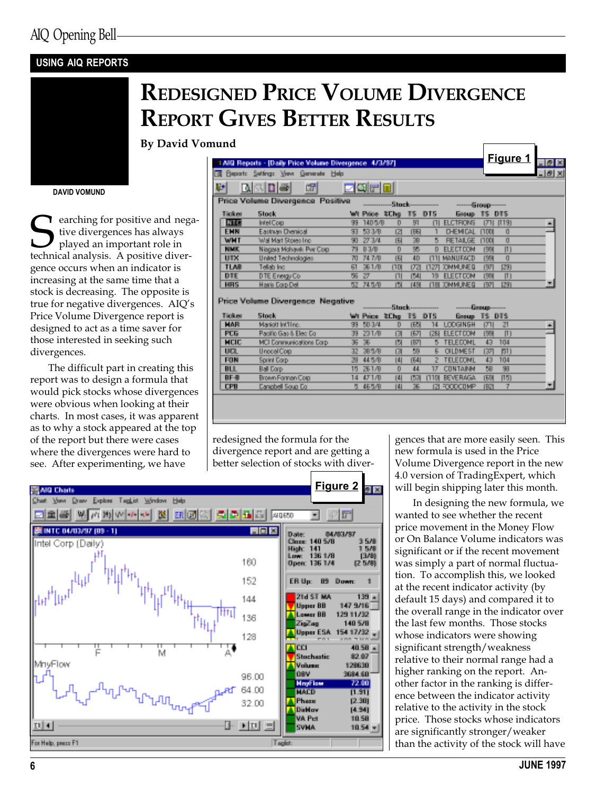### USING AIQ REPORTS

# REDESIGNED PRICE VOLUME DIVERGENCE REPORT GIVES BETTER RESULTS

By David Vomund

#### DAVID VOMUND

earching for positive and negative divergences has always played an important role in technical analysis. A positive divergence occurs when an indicator is increasing at the same time that a stock is decreasing. The opposite is true for negative divergences. AIQ's Price Volume Divergence report is designed to act as a time saver for those interested in seeking such divergences.

The difficult part in creating this report was to design a formula that would pick stocks whose divergences were obvious when looking at their charts. In most cases, it was apparent as to why a stock appeared at the top of the report but there were cases where the divergences were hard to see. After experimenting, we have

|             |                                                        |     |               |             |                          |      |                  |              | Figure 1      |     |
|-------------|--------------------------------------------------------|-----|---------------|-------------|--------------------------|------|------------------|--------------|---------------|-----|
|             | 2 AID Reports - [Daily Price Volume Divergence 4/3/97] |     |               |             |                          |      |                  |              |               |     |
|             | 30 Beparts Settings View Generate Help                 |     |               |             |                          |      |                  |              |               |     |
| Ų.          | <b>DADE</b><br>団                                       |     | eoro          |             |                          |      |                  |              |               |     |
|             | Price Volume Divergence Positive                       |     |               |             | <b>Stock------------</b> |      | $-6$ roup $-$    |              |               |     |
| Tipk at     | <b>Stock</b>                                           |     | <b>Filter</b> | <b>SChe</b> | 15.                      | DT5  | <b>Emerge</b>    |              | <b>12 DIS</b> |     |
| <b>Land</b> | IntelCorp.                                             | 33  | 1405/B        | D.          | 81                       | Ш    | <b>ELCTRONS</b>  | т            | 1131          | 49. |
| EMM         | Eastham Drenical                                       | 33  | 533/B         | īа          | <b>TEGI</b>              |      | <b>D-EMICAL</b>  | <b>FILO</b>  | ū             |     |
| WNT         | Wall Mart Stores Inc.                                  | 90. | 273/4         | 围           | 28                       | m    | <b>RETAILGE</b>  | <b>ILION</b> | ŋ.            |     |
| 阻咳          | Niagara Mohawk Pwr Corp.                               | 79  | B 3/B         | D           | BB.                      | n    | <b>FLEGT DOM</b> | IK.          | Ю             |     |
| UTX         | United Technologies                                    | 70  | 74.7/B        | 围           | 40                       | ш    | MANIFACTI        | TBB.         | ū             |     |
| TLAB        | Tellab Inc.                                            | 61  | 261/B         | nu          | rzi                      | пгл  | <b>JONNUNED</b>  | īМ           | Bai           |     |
| DIE         | DTE Energy Co.                                         | 56  | $Z^T$         | Ш           | IM.                      | 19.  | <b>ELECT DOM</b> | IK.          | Ш             |     |
| HIRS        | <b>Haris Corp Del</b>                                  | 52. | 74 5/B        | ľΝ          | [48]                     | LIN. | <b>JONNUNED</b>  | тал          | Bal           | 201 |
|             |                                                        |     |               |             |                          |      |                  |              |               |     |

|             | t team a magazine continuous magazine consideration. |     | <b><i>SERVICE EXECUTIVE</i></b> |      |         | <u>Stock------------</u> | <u>. issup</u>   |               |            |            |
|-------------|------------------------------------------------------|-----|---------------------------------|------|---------|--------------------------|------------------|---------------|------------|------------|
| Tipker      | Stock.                                               |     | <b>With Primer</b>              | 3Chg | -13 DTS |                          | <b>Beaup</b>     | <b>IS DIS</b> |            |            |
| <b>HAR</b>  | Mariott let'll no.                                   | 33  | 503/4                           | D.   | IБN     | 14                       | <b>LODGINEH</b>  | гчι           | 21         | Ìщ,        |
| PCG.        | Radillo Gae & Eleg Co.                               | 39. | 231/B                           | M    | हरा     | <b>IZBI</b>              | <b>ELECT DOM</b> | nsa           |            |            |
| <b>MOD</b>  | MCI Communications Corp.                             |     | 36 26                           | Ю    | ाध्या   |                          | <b>TELECONL</b>  | 43.           | 104        |            |
| UKR.        | Uncoal Cop                                           | æ.  | 385/B                           | K    | DB.     | 5.                       | <b>OLDMEST</b>   | ाला           | <b>KIT</b> |            |
| <b>FON</b>  | <b>Sorini Corp.</b>                                  | 29  | 445/B                           | [4]  | IE4I    |                          | <b>TELECONL</b>  | 43.           | 104        |            |
| <b>BLL</b>  | <b>Ball Corp.</b>                                    | 15. | 261/B                           | D    | 清清      | 12                       | <b>CONTAINN</b>  | BВ            | 39         |            |
| <b>BF-B</b> | Brown Forman Corp.                                   | 14  | 471/B                           | [4]  | roa     | пто                      | BEVERAGA.        | <b>TEXT</b>   | 1150       |            |
| <b>CPB</b>  | Canadell Soua Co.                                    |     | 5 455/B                         |      |         | м                        | <b>RODOUMP</b>   | <b>IR21</b>   |            | <b>SEC</b> |
|             |                                                      |     |                                 |      |         |                          |                  |               |            |            |

redesigned the formula for the divergence report and are getting a better selection of stocks with diver-



gences that are more easily seen. This new formula is used in the Price Volume Divergence report in the new 4.0 version of TradingExpert, which will begin shipping later this month.

In designing the new formula, we wanted to see whether the recent price movement in the Money Flow or On Balance Volume indicators was significant or if the recent movement was simply a part of normal fluctuation. To accomplish this, we looked at the recent indicator activity (by default 15 days) and compared it to the overall range in the indicator over the last few months. Those stocks whose indicators were showing significant strength/weakness relative to their normal range had a higher ranking on the report. Another factor in the ranking is difference between the indicator activity relative to the activity in the stock price. Those stocks whose indicators are significantly stronger/weaker than the activity of the stock will have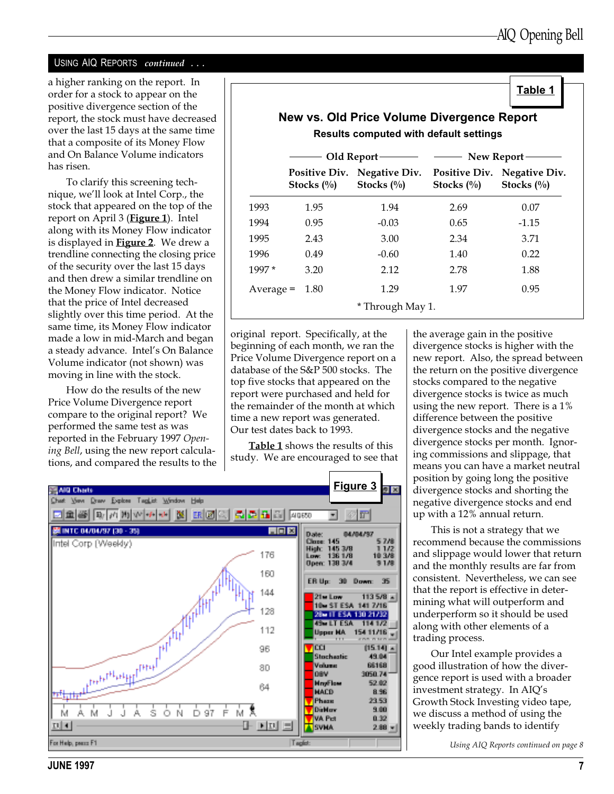Table 1

#### USING AIQ REPORTS continued ...

a higher ranking on the report. In order for a stock to appear on the positive divergence section of the report, the stock must have decreased over the last 15 days at the same time that a composite of its Money Flow and On Balance Volume indicators has risen.

To clarify this screening technique, we'll look at Intel Corp., the stock that appeared on the top of the report on April 3 (**Figure 1**). Intel along with its Money Flow indicator is displayed in **Figure 2**. We drew a trendline connecting the closing price of the security over the last 15 days and then drew a similar trendline on the Money Flow indicator. Notice that the price of Intel decreased slightly over this time period. At the same time, its Money Flow indicator made a low in mid-March and began a steady advance. Intel's On Balance Volume indicator (not shown) was moving in line with the stock.

How do the results of the new Price Volume Divergence report compare to the original report? We performed the same test as was reported in the February 1997 Opening Bell, using the new report calculations, and compared the results to the

|             |                                       | Old Report-                           | New Report-                           |                                |  |  |
|-------------|---------------------------------------|---------------------------------------|---------------------------------------|--------------------------------|--|--|
|             | <b>Positive Div.</b><br>Stocks $(\%)$ | <b>Negative Div.</b><br>Stocks $(\%)$ | <b>Positive Div.</b><br>Stocks $(\%)$ | Negative Div.<br>Stocks $(\%)$ |  |  |
| 1993        | 1.95                                  | 1.94                                  | 2.69                                  | 0.07                           |  |  |
| 1994        | 0.95                                  | $-0.03$                               | 0.65                                  | $-1.15$                        |  |  |
| 1995        | 2.43                                  | 3.00                                  | 2.34                                  | 3.71                           |  |  |
| 1996        | 0.49                                  | $-0.60$                               | 1.40                                  | 0.22                           |  |  |
| $1997*$     | 3.20                                  | 2.12                                  | 2.78                                  | 1.88                           |  |  |
| $Average =$ | 1.80                                  | 1.29                                  | 1.97                                  | 0.95                           |  |  |

original report. Specifically, at the beginning of each month, we ran the Price Volume Divergence report on a database of the S&P 500 stocks. The top five stocks that appeared on the report were purchased and held for the remainder of the month at which time a new report was generated. Our test dates back to 1993.

Table 1 shows the results of this study. We are encouraged to see that



the average gain in the positive divergence stocks is higher with the new report. Also, the spread between the return on the positive divergence stocks compared to the negative divergence stocks is twice as much using the new report. There is a 1% difference between the positive divergence stocks and the negative divergence stocks per month. Ignoring commissions and slippage, that means you can have a market neutral position by going long the positive divergence stocks and shorting the negative divergence stocks and end up with a 12% annual return.

This is not a strategy that we recommend because the commissions and slippage would lower that return and the monthly results are far from consistent. Nevertheless, we can see that the report is effective in determining what will outperform and underperform so it should be used along with other elements of a trading process.

Our Intel example provides a good illustration of how the divergence report is used with a broader investment strategy. In AIQ's Growth Stock Investing video tape, we discuss a method of using the weekly trading bands to identify

Using AIQ Reports continued on page 8